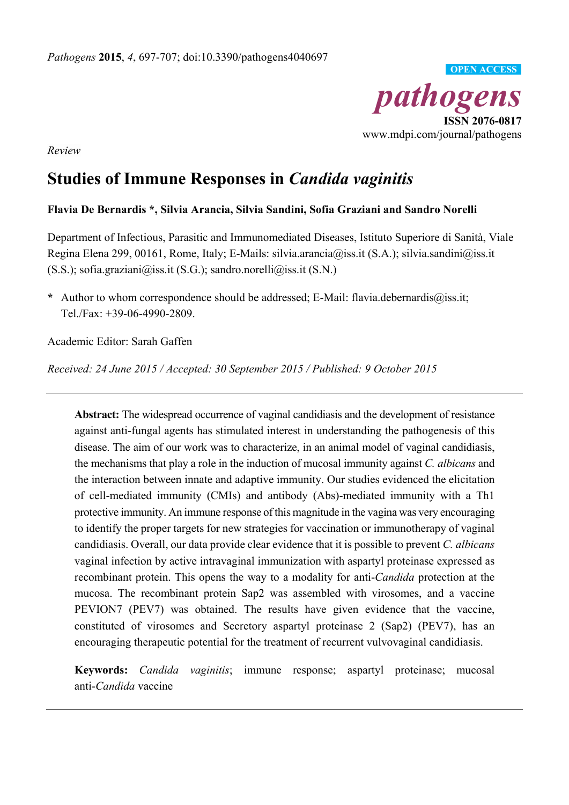

*Review* 

# **Studies of Immune Responses in** *Candida vaginitis*

# **Flavia De Bernardis \*, Silvia Arancia, Silvia Sandini, Sofia Graziani and Sandro Norelli**

Department of Infectious, Parasitic and Immunomediated Diseases, Istituto Superiore di Sanità, Viale Regina Elena 299, 00161, Rome, Italy; E-Mails: silvia.arancia@iss.it (S.A.); silvia.sandini@iss.it  $(S.S.)$ ; sofia.graziani@iss.it  $(S.G.)$ ; sandro.norelli@iss.it  $(S.N.)$ 

**\*** Author to whom correspondence should be addressed; E-Mail: flavia.debernardis@iss.it; Tel./Fax: +39-06-4990-2809.

Academic Editor: Sarah Gaffen

*Received: 24 June 2015 / Accepted: 30 September 2015 / Published: 9 October 2015* 

**Abstract:** The widespread occurrence of vaginal candidiasis and the development of resistance against anti-fungal agents has stimulated interest in understanding the pathogenesis of this disease. The aim of our work was to characterize, in an animal model of vaginal candidiasis, the mechanisms that play a role in the induction of mucosal immunity against *C. albicans* and the interaction between innate and adaptive immunity. Our studies evidenced the elicitation of cell-mediated immunity (CMIs) and antibody (Abs)-mediated immunity with a Th1 protective immunity. An immune response of this magnitude in the vagina was very encouraging to identify the proper targets for new strategies for vaccination or immunotherapy of vaginal candidiasis. Overall, our data provide clear evidence that it is possible to prevent *C. albicans* vaginal infection by active intravaginal immunization with aspartyl proteinase expressed as recombinant protein. This opens the way to a modality for anti-*Candida* protection at the mucosa. The recombinant protein Sap2 was assembled with virosomes, and a vaccine PEVION7 (PEV7) was obtained. The results have given evidence that the vaccine, constituted of virosomes and Secretory aspartyl proteinase 2 (Sap2) (PEV7), has an encouraging therapeutic potential for the treatment of recurrent vulvovaginal candidiasis.

**Keywords:** *Candida vaginitis*; immune response; aspartyl proteinase; mucosal anti-*Candida* vaccine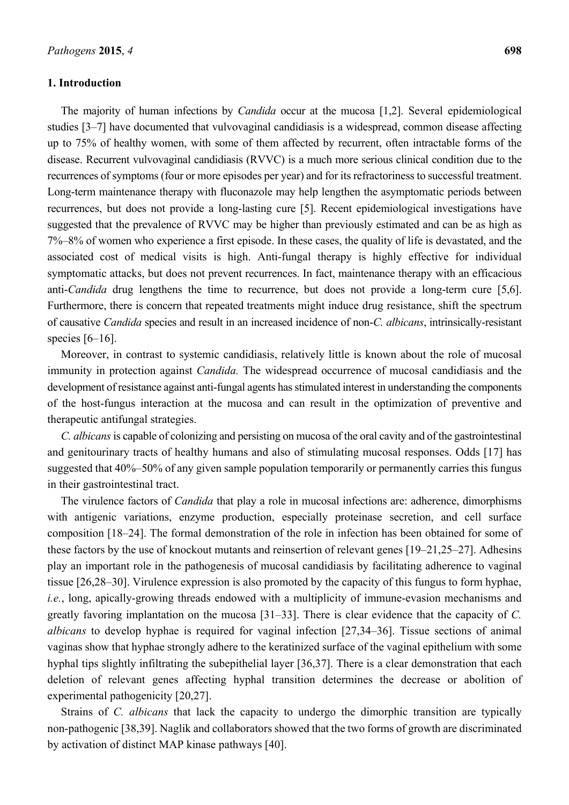#### **1. Introduction**

The majority of human infections by *Candida* occur at the mucosa [1,2]. Several epidemiological studies [3–7] have documented that vulvovaginal candidiasis is a widespread, common disease affecting up to 75% of healthy women, with some of them affected by recurrent, often intractable forms of the disease. Recurrent vulvovaginal candidiasis (RVVC) is a much more serious clinical condition due to the recurrences of symptoms (four or more episodes per year) and for its refractoriness to successful treatment. Long-term maintenance therapy with fluconazole may help lengthen the asymptomatic periods between recurrences, but does not provide a long-lasting cure [5]. Recent epidemiological investigations have suggested that the prevalence of RVVC may be higher than previously estimated and can be as high as 7%–8% of women who experience a first episode. In these cases, the quality of life is devastated, and the associated cost of medical visits is high. Anti-fungal therapy is highly effective for individual symptomatic attacks, but does not prevent recurrences. In fact, maintenance therapy with an efficacious anti-*Candida* drug lengthens the time to recurrence, but does not provide a long-term cure [5,6]. Furthermore, there is concern that repeated treatments might induce drug resistance, shift the spectrum of causative *Candida* species and result in an increased incidence of non-*C. albicans*, intrinsically-resistant species [6–16].

Moreover, in contrast to systemic candidiasis, relatively little is known about the role of mucosal immunity in protection against *Candida.* The widespread occurrence of mucosal candidiasis and the development of resistance against anti-fungal agents has stimulated interest in understanding the components of the host-fungus interaction at the mucosa and can result in the optimization of preventive and therapeutic antifungal strategies.

*C. albicans* is capable of colonizing and persisting on mucosa of the oral cavity and of the gastrointestinal and genitourinary tracts of healthy humans and also of stimulating mucosal responses. Odds [17] has suggested that 40%–50% of any given sample population temporarily or permanently carries this fungus in their gastrointestinal tract.

The virulence factors of *Candida* that play a role in mucosal infections are: adherence, dimorphisms with antigenic variations, enzyme production, especially proteinase secretion, and cell surface composition [18–24]. The formal demonstration of the role in infection has been obtained for some of these factors by the use of knockout mutants and reinsertion of relevant genes [19–21,25–27]. Adhesins play an important role in the pathogenesis of mucosal candidiasis by facilitating adherence to vaginal tissue [26,28–30]. Virulence expression is also promoted by the capacity of this fungus to form hyphae, *i.e.*, long, apically-growing threads endowed with a multiplicity of immune-evasion mechanisms and greatly favoring implantation on the mucosa [31–33]. There is clear evidence that the capacity of *C. albicans* to develop hyphae is required for vaginal infection [27,34–36]. Tissue sections of animal vaginas show that hyphae strongly adhere to the keratinized surface of the vaginal epithelium with some hyphal tips slightly infiltrating the subepithelial layer [36,37]. There is a clear demonstration that each deletion of relevant genes affecting hyphal transition determines the decrease or abolition of experimental pathogenicity [20,27].

Strains of *C. albicans* that lack the capacity to undergo the dimorphic transition are typically non-pathogenic [38,39]. Naglik and collaborators showed that the two forms of growth are discriminated by activation of distinct MAP kinase pathways [40].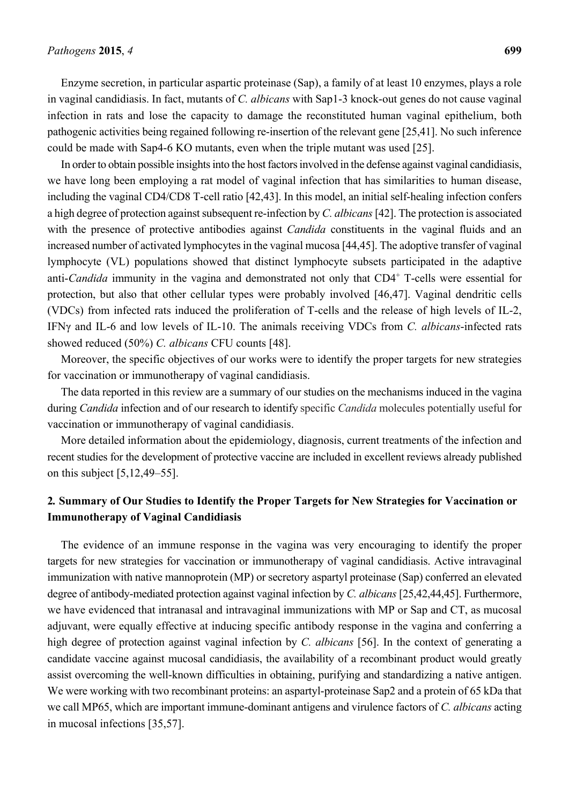Enzyme secretion, in particular aspartic proteinase (Sap), a family of at least 10 enzymes, plays a role in vaginal candidiasis. In fact, mutants of *C. albicans* with Sap1-3 knock-out genes do not cause vaginal infection in rats and lose the capacity to damage the reconstituted human vaginal epithelium, both pathogenic activities being regained following re-insertion of the relevant gene [25,41]. No such inference could be made with Sap4-6 KO mutants, even when the triple mutant was used [25].

In order to obtain possible insights into the host factors involved in the defense against vaginal candidiasis, we have long been employing a rat model of vaginal infection that has similarities to human disease, including the vaginal CD4/CD8 T-cell ratio [42,43]. In this model, an initial self-healing infection confers a high degree of protection against subsequent re-infection by *C. albicans* [42]. The protection is associated with the presence of protective antibodies against *Candida* constituents in the vaginal fluids and an increased number of activated lymphocytes in the vaginal mucosa [44,45]. The adoptive transfer of vaginal lymphocyte (VL) populations showed that distinct lymphocyte subsets participated in the adaptive anti-*Candida* immunity in the vagina and demonstrated not only that CD4<sup>+</sup> T-cells were essential for protection, but also that other cellular types were probably involved [46,47]. Vaginal dendritic cells (VDCs) from infected rats induced the proliferation of T-cells and the release of high levels of IL-2, IFNγ and IL-6 and low levels of IL-10. The animals receiving VDCs from *C. albicans*-infected rats showed reduced (50%) *C. albicans* CFU counts [48].

Moreover, the specific objectives of our works were to identify the proper targets for new strategies for vaccination or immunotherapy of vaginal candidiasis.

The data reported in this review are a summary of our studies on the mechanisms induced in the vagina during *Candida* infection and of our research to identify specific *Candida* molecules potentially useful for vaccination or immunotherapy of vaginal candidiasis.

More detailed information about the epidemiology, diagnosis, current treatments of the infection and recent studies for the development of protective vaccine are included in excellent reviews already published on this subject [5,12,49–55].

# **2***.* **Summary of Our Studies to Identify the Proper Targets for New Strategies for Vaccination or Immunotherapy of Vaginal Candidiasis**

The evidence of an immune response in the vagina was very encouraging to identify the proper targets for new strategies for vaccination or immunotherapy of vaginal candidiasis. Active intravaginal immunization with native mannoprotein (MP) or secretory aspartyl proteinase (Sap) conferred an elevated degree of antibody-mediated protection against vaginal infection by *C. albicans* [25,42,44,45]. Furthermore, we have evidenced that intranasal and intravaginal immunizations with MP or Sap and CT, as mucosal adjuvant, were equally effective at inducing specific antibody response in the vagina and conferring a high degree of protection against vaginal infection by *C. albicans* [56]. In the context of generating a candidate vaccine against mucosal candidiasis, the availability of a recombinant product would greatly assist overcoming the well-known difficulties in obtaining, purifying and standardizing a native antigen. We were working with two recombinant proteins: an aspartyl-proteinase Sap2 and a protein of 65 kDa that we call MP65, which are important immune-dominant antigens and virulence factors of *C. albicans* acting in mucosal infections [35,57].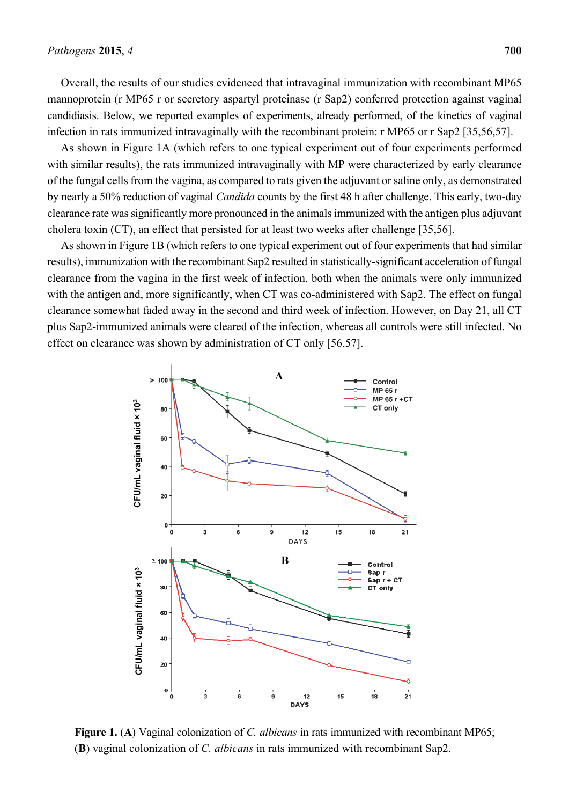Overall, the results of our studies evidenced that intravaginal immunization with recombinant MP65 mannoprotein (r MP65 r or secretory aspartyl proteinase (r Sap2) conferred protection against vaginal candidiasis. Below, we reported examples of experiments, already performed, of the kinetics of vaginal infection in rats immunized intravaginally with the recombinant protein: r MP65 or r Sap2 [35,56,57].

As shown in Figure 1A (which refers to one typical experiment out of four experiments performed with similar results), the rats immunized intravaginally with MP were characterized by early clearance of the fungal cells from the vagina, as compared to rats given the adjuvant or saline only, as demonstrated by nearly a 50% reduction of vaginal *Candida* counts by the first 48 h after challenge. This early, two-day clearance rate was significantly more pronounced in the animals immunized with the antigen plus adjuvant cholera toxin (CT), an effect that persisted for at least two weeks after challenge [35,56].

As shown in Figure 1B (which refers to one typical experiment out of four experiments that had similar results), immunization with the recombinant Sap2 resulted in statistically-significant acceleration of fungal clearance from the vagina in the first week of infection, both when the animals were only immunized with the antigen and, more significantly, when CT was co-administered with Sap2. The effect on fungal clearance somewhat faded away in the second and third week of infection. However, on Day 21, all CT plus Sap2-immunized animals were cleared of the infection, whereas all controls were still infected. No effect on clearance was shown by administration of CT only [56,57].



**Figure 1.** (**A**) Vaginal colonization of *C. albicans* in rats immunized with recombinant MP65;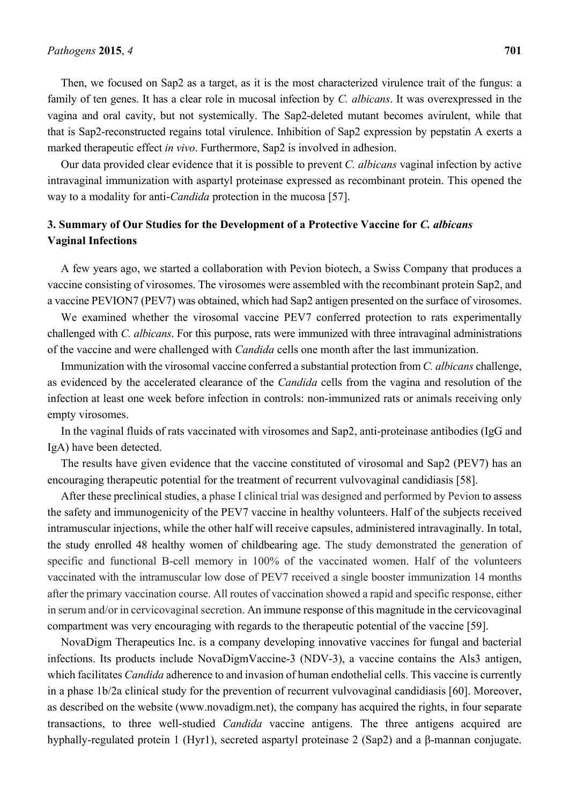Then, we focused on Sap2 as a target, as it is the most characterized virulence trait of the fungus: a family of ten genes. It has a clear role in mucosal infection by *C. albicans*. It was overexpressed in the vagina and oral cavity, but not systemically. The Sap2-deleted mutant becomes avirulent, while that that is Sap2-reconstructed regains total virulence. Inhibition of Sap2 expression by pepstatin A exerts a marked therapeutic effect *in vivo*. Furthermore, Sap2 is involved in adhesion.

Our data provided clear evidence that it is possible to prevent *C. albicans* vaginal infection by active intravaginal immunization with aspartyl proteinase expressed as recombinant protein. This opened the way to a modality for anti-*Candida* protection in the mucosa [57].

## **3. Summary of Our Studies for the Development of a Protective Vaccine for** *C. albicans* **Vaginal Infections**

A few years ago, we started a collaboration with Pevion biotech, a Swiss Company that produces a vaccine consisting of virosomes. The virosomes were assembled with the recombinant protein Sap2, and a vaccine PEVION7 (PEV7) was obtained, which had Sap2 antigen presented on the surface of virosomes.

We examined whether the virosomal vaccine PEV7 conferred protection to rats experimentally challenged with *C. albicans*. For this purpose, rats were immunized with three intravaginal administrations of the vaccine and were challenged with *Candida* cells one month after the last immunization.

Immunization with the virosomal vaccine conferred a substantial protection from *C. albicans* challenge, as evidenced by the accelerated clearance of the *Candida* cells from the vagina and resolution of the infection at least one week before infection in controls: non-immunized rats or animals receiving only empty virosomes.

In the vaginal fluids of rats vaccinated with virosomes and Sap2, anti-proteinase antibodies (IgG and IgA) have been detected.

The results have given evidence that the vaccine constituted of virosomal and Sap2 (PEV7) has an encouraging therapeutic potential for the treatment of recurrent vulvovaginal candidiasis [58].

After these preclinical studies, a phase I clinical trial was designed and performed by Pevion to assess the safety and immunogenicity of the PEV7 vaccine in healthy volunteers. Half of the subjects received intramuscular injections, while the other half will receive capsules, administered intravaginally. In total, the study enrolled 48 healthy women of childbearing age. The study demonstrated the generation of specific and functional B-cell memory in 100% of the vaccinated women. Half of the volunteers vaccinated with the intramuscular low dose of PEV7 received a single booster immunization 14 months after the primary vaccination course. All routes of vaccination showed a rapid and specific response, either in serum and/or in cervicovaginal secretion. An immune response of this magnitude in the cervicovaginal compartment was very encouraging with regards to the therapeutic potential of the vaccine [59].

NovaDigm Therapeutics Inc. is a company developing innovative vaccines for fungal and bacterial infections. Its products include NovaDigmVaccine-3 (NDV-3), a vaccine contains the Als3 antigen, which facilitates *Candida* adherence to and invasion of human endothelial cells. This vaccine is currently in a phase 1b/2a clinical study for the prevention of recurrent vulvovaginal candidiasis [60]. Moreover, as described on the website (www.novadigm.net), the company has acquired the rights, in four separate transactions, to three well-studied *Candida* vaccine antigens. The three antigens acquired are hyphally-regulated protein 1 (Hyr1), secreted aspartyl proteinase 2 (Sap2) and a β-mannan conjugate.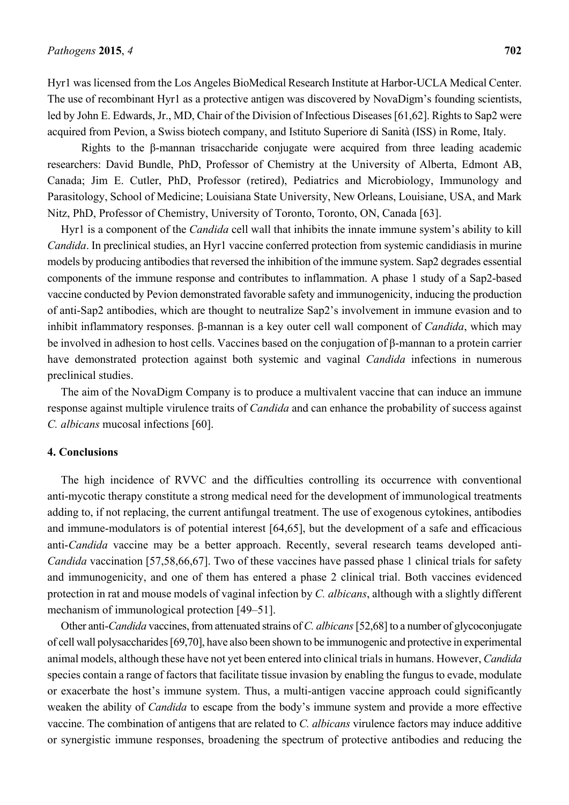Hyr1 was licensed from the Los Angeles BioMedical Research Institute at Harbor-UCLA Medical Center. The use of recombinant Hyr1 as a protective antigen was discovered by NovaDigm's founding scientists, led by John E. Edwards, Jr., MD, Chair of the Division of Infectious Diseases [61,62]. Rights to Sap2 were acquired from Pevion, a Swiss biotech company, and Istituto Superiore di Sanità (ISS) in Rome, Italy.

Rights to the β-mannan trisaccharide conjugate were acquired from three leading academic researchers: David Bundle, PhD, Professor of Chemistry at the University of Alberta, Edmont AB, Canada; Jim E. Cutler, PhD, Professor (retired), Pediatrics and Microbiology, Immunology and Parasitology, School of Medicine; Louisiana State University, New Orleans, Louisiane, USA, and Mark Nitz, PhD, Professor of Chemistry, University of Toronto, Toronto, ON, Canada [63].

Hyr1 is a component of the *Candida* cell wall that inhibits the innate immune system's ability to kill *Candida*. In preclinical studies, an Hyr1 vaccine conferred protection from systemic candidiasis in murine models by producing antibodies that reversed the inhibition of the immune system. Sap2 degrades essential components of the immune response and contributes to inflammation. A phase 1 study of a Sap2-based vaccine conducted by Pevion demonstrated favorable safety and immunogenicity, inducing the production of anti-Sap2 antibodies, which are thought to neutralize Sap2's involvement in immune evasion and to inhibit inflammatory responses. β-mannan is a key outer cell wall component of *Candida*, which may be involved in adhesion to host cells. Vaccines based on the conjugation of β-mannan to a protein carrier have demonstrated protection against both systemic and vaginal *Candida* infections in numerous preclinical studies.

The aim of the NovaDigm Company is to produce a multivalent vaccine that can induce an immune response against multiple virulence traits of *Candida* and can enhance the probability of success against *C. albicans* mucosal infections [60].

#### **4. Conclusions**

The high incidence of RVVC and the difficulties controlling its occurrence with conventional anti-mycotic therapy constitute a strong medical need for the development of immunological treatments adding to, if not replacing, the current antifungal treatment. The use of exogenous cytokines, antibodies and immune-modulators is of potential interest [64,65], but the development of a safe and efficacious anti-*Candida* vaccine may be a better approach. Recently, several research teams developed anti-*Candida* vaccination [57,58,66,67]. Two of these vaccines have passed phase 1 clinical trials for safety and immunogenicity, and one of them has entered a phase 2 clinical trial. Both vaccines evidenced protection in rat and mouse models of vaginal infection by *C. albicans*, although with a slightly different mechanism of immunological protection [49–51].

Other anti-*Candida* vaccines, from attenuated strains of *C. albicans* [52,68] to a number of glycoconjugate of cell wall polysaccharides [69,70], have also been shown to be immunogenic and protective in experimental animal models, although these have not yet been entered into clinical trials in humans. However, *Candida*  species contain a range of factors that facilitate tissue invasion by enabling the fungus to evade, modulate or exacerbate the host's immune system. Thus, a multi-antigen vaccine approach could significantly weaken the ability of *Candida* to escape from the body's immune system and provide a more effective vaccine. The combination of antigens that are related to *C. albicans* virulence factors may induce additive or synergistic immune responses, broadening the spectrum of protective antibodies and reducing the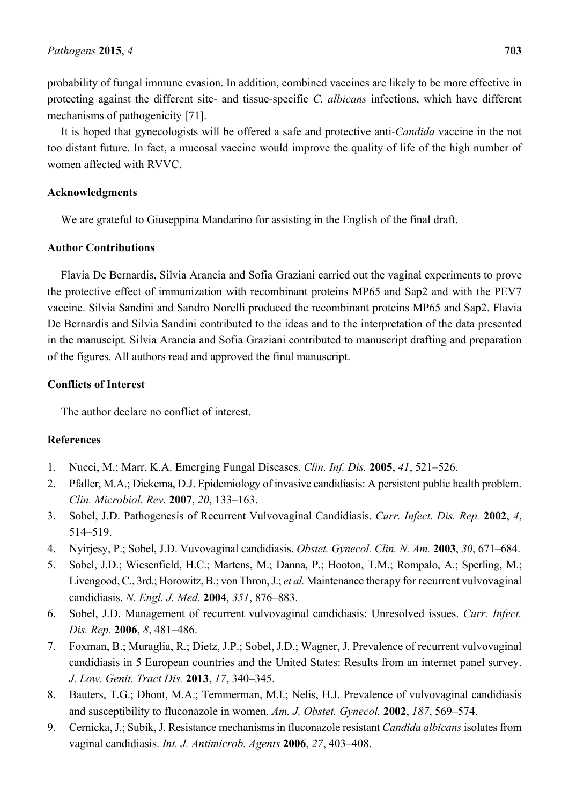It is hoped that gynecologists will be offered a safe and protective anti-*Candida* vaccine in the not too distant future. In fact, a mucosal vaccine would improve the quality of life of the high number of women affected with RVVC.

### **Acknowledgments**

We are grateful to Giuseppina Mandarino for assisting in the English of the final draft.

#### **Author Contributions**

Flavia De Bernardis, Silvia Arancia and Sofia Graziani carried out the vaginal experiments to prove the protective effect of immunization with recombinant proteins MP65 and Sap2 and with the PEV7 vaccine. Silvia Sandini and Sandro Norelli produced the recombinant proteins MP65 and Sap2. Flavia De Bernardis and Silvia Sandini contributed to the ideas and to the interpretation of the data presented in the manuscipt. Silvia Arancia and Sofia Graziani contributed to manuscript drafting and preparation of the figures. All authors read and approved the final manuscript.

## **Conflicts of Interest**

The author declare no conflict of interest.

## **References**

- 1. Nucci, M.; Marr, K.A. Emerging Fungal Diseases. *Clin. Inf. Dis.* **2005**, *41*, 521–526.
- 2. Pfaller, M.A.; Diekema, D.J. Epidemiology of invasive candidiasis: A persistent public health problem. *Clin. Microbiol. Rev.* **2007**, *20*, 133–163.
- 3. Sobel, J.D. Pathogenesis of Recurrent Vulvovaginal Candidiasis. *Curr. Infect. Dis. Rep.* **2002**, *4*, 514–519.
- 4. Nyirjesy, P.; Sobel, J.D. Vuvovaginal candidiasis. *Obstet. Gynecol. Clin. N. Am.* **2003**, *30*, 671–684.
- 5. Sobel, J.D.; Wiesenfield, H.C.; Martens, M.; Danna, P.; Hooton, T.M.; Rompalo, A.; Sperling, M.; Livengood, C., 3rd.; Horowitz, B.; von Thron, J.; *et al.* Maintenance therapy for recurrent vulvovaginal candidiasis. *N. Engl. J. Med.* **2004**, *351*, 876–883.
- 6. Sobel, J.D. Management of recurrent vulvovaginal candidiasis: Unresolved issues. *Curr. Infect. Dis. Rep.* **2006**, *8*, 481–486.
- 7. Foxman, B.; Muraglia, R.; Dietz, J.P.; Sobel, J.D.; Wagner, J. Prevalence of recurrent vulvovaginal candidiasis in 5 European countries and the United States: Results from an internet panel survey. *J. Low. Genit. Tract Dis.* **2013**, *17*, 340**–**345.
- 8. Bauters, T.G.; Dhont, M.A.; Temmerman, M.I.; Nelis, H.J. Prevalence of vulvovaginal candidiasis and susceptibility to fluconazole in women. *Am. J. Obstet. Gynecol.* **2002**, *187*, 569–574.
- 9. Cernicka, J.; Subik, J. Resistance mechanisms in fluconazole resistant *Candida albicans* isolates from vaginal candidiasis. *Int. J. Antimicrob. Agents* **2006**, *27*, 403–408.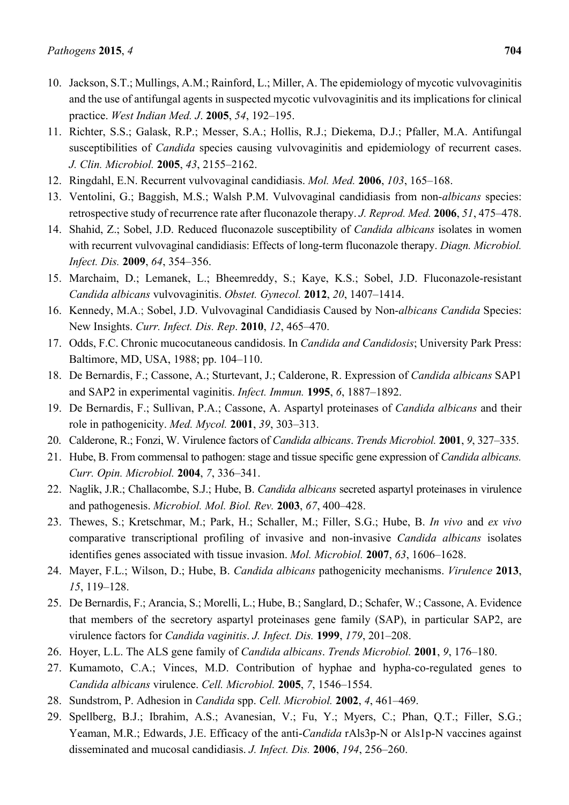- 10. Jackson, S.T.; Mullings, A.M.; Rainford, L.; Miller, A. The epidemiology of mycotic vulvovaginitis and the use of antifungal agents in suspected mycotic vulvovaginitis and its implications for clinical practice. *West Indian Med. J*. **2005**, *54*, 192–195.
- 11. Richter, S.S.; Galask, R.P.; Messer, S.A.; Hollis, R.J.; Diekema, D.J.; Pfaller, M.A. Antifungal susceptibilities of *Candida* species causing vulvovaginitis and epidemiology of recurrent cases. *J. Clin. Microbiol.* **2005**, *43*, 2155–2162.
- 12. Ringdahl, E.N. Recurrent vulvovaginal candidiasis. *Mol. Med.* **2006**, *103*, 165–168.
- 13. Ventolini, G.; Baggish, M.S.; Walsh P.M. Vulvovaginal candidiasis from non-*albicans* species: retrospective study of recurrence rate after fluconazole therapy. *J. Reprod. Med.* **2006**, *51*, 475–478.
- 14. Shahid, Z.; Sobel, J.D. Reduced fluconazole susceptibility of *Candida albicans* isolates in women with recurrent vulvovaginal candidiasis: Effects of long-term fluconazole therapy. *Diagn. Microbiol. Infect. Dis.* **2009**, *64*, 354–356.
- 15. Marchaim, D.; Lemanek, L.; Bheemreddy, S.; Kaye, K.S.; Sobel, J.D. Fluconazole-resistant *Candida albicans* vulvovaginitis. *Obstet. Gynecol.* **2012**, *20*, 1407–1414.
- 16. Kennedy, M.A.; Sobel, J.D. Vulvovaginal Candidiasis Caused by Non-*albicans Candida* Species: New Insights. *Curr. Infect. Dis. Rep*. **2010**, *12*, 465–470.
- 17. Odds, F.C. Chronic mucocutaneous candidosis. In *Candida and Candidosis*; University Park Press: Baltimore, MD, USA, 1988; pp. 104–110.
- 18. De Bernardis, F.; Cassone, A.; Sturtevant, J.; Calderone, R. Expression of *Candida albicans* SAP1 and SAP2 in experimental vaginitis. *Infect. Immun.* **1995**, *6*, 1887–1892.
- 19. De Bernardis, F.; Sullivan, P.A.; Cassone, A. Aspartyl proteinases of *Candida albicans* and their role in pathogenicity. *Med. Mycol.* **2001**, *39*, 303–313.
- 20. Calderone, R.; Fonzi, W. Virulence factors of *Candida albicans*. *Trends Microbiol.* **2001**, *9*, 327–335.
- 21. Hube, B. From commensal to pathogen: stage and tissue specific gene expression of *Candida albicans. Curr. Opin. Microbiol.* **2004**, *7*, 336–341.
- 22. Naglik, J.R.; Challacombe, S.J.; Hube, B. *Candida albicans* secreted aspartyl proteinases in virulence and pathogenesis. *Microbiol. Mol. Biol. Rev.* **2003**, *67*, 400–428.
- 23. Thewes, S.; Kretschmar, M.; Park, H.; Schaller, M.; Filler, S.G.; Hube, B. *In vivo* and *ex vivo* comparative transcriptional profiling of invasive and non-invasive *Candida albicans* isolates identifies genes associated with tissue invasion. *Mol. Microbiol.* **2007**, *63*, 1606–1628.
- 24. Mayer, F.L.; Wilson, D.; Hube, B. *Candida albicans* pathogenicity mechanisms. *Virulence* **2013**, *15*, 119–128.
- 25. De Bernardis, F.; Arancia, S.; Morelli, L.; Hube, B.; Sanglard, D.; Schafer, W.; Cassone, A. Evidence that members of the secretory aspartyl proteinases gene family (SAP), in particular SAP2, are virulence factors for *Candida vaginitis*. *J. Infect. Dis.* **1999**, *179*, 201–208.
- 26. Hoyer, L.L. The ALS gene family of *Candida albicans*. *Trends Microbiol.* **2001**, *9*, 176–180.
- 27. Kumamoto, C.A.; Vinces, M.D. Contribution of hyphae and hypha-co-regulated genes to *Candida albicans* virulence. *Cell. Microbiol.* **2005**, *7*, 1546–1554.
- 28. Sundstrom, P. Adhesion in *Candida* spp. *Cell. Microbiol.* **2002**, *4*, 461–469.
- 29. Spellberg, B.J.; Ibrahim, A.S.; Avanesian, V.; Fu, Y.; Myers, C.; Phan, Q.T.; Filler, S.G.; Yeaman, M.R.; Edwards, J.E. Efficacy of the anti-*Candida* rAls3p-N or Als1p-N vaccines against disseminated and mucosal candidiasis. *J. Infect. Dis.* **2006**, *194*, 256–260.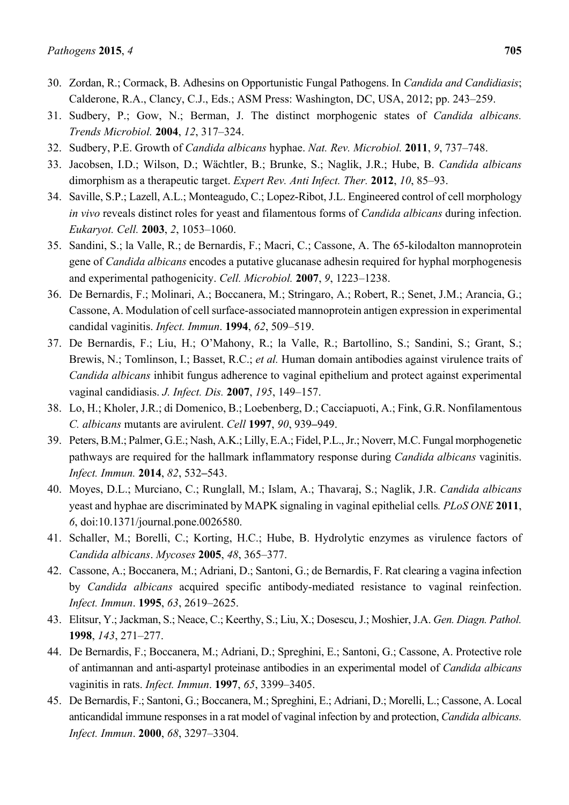- 31. Sudbery, P.; Gow, N.; Berman, J. The distinct morphogenic states of *Candida albicans. Trends Microbiol.* **2004**, *12*, 317–324.
- 32. Sudbery, P.E. Growth of *Candida albicans* hyphae. *Nat. Rev. Microbiol.* **2011**, *9*, 737–748.
- 33. Jacobsen, I.D.; Wilson, D.; Wächtler, B.; Brunke, S.; Naglik, J.R.; Hube, B. *Candida albicans* dimorphism as a therapeutic target. *Expert Rev. Anti Infect. Ther.* **2012**, *10*, 85–93.
- 34. Saville, S.P.; Lazell, A.L.; Monteagudo, C.; Lopez-Ribot, J.L. Engineered control of cell morphology *in vivo* reveals distinct roles for yeast and filamentous forms of *Candida albicans* during infection. *Eukaryot. Cell.* **2003**, *2*, 1053–1060.
- 35. Sandini, S.; la Valle, R.; de Bernardis, F.; Macri, C.; Cassone, A. The 65-kilodalton mannoprotein gene of *Candida albicans* encodes a putative glucanase adhesin required for hyphal morphogenesis and experimental pathogenicity. *Cell. Microbiol.* **2007**, *9*, 1223–1238.
- 36. De Bernardis, F.; Molinari, A.; Boccanera, M.; Stringaro, A.; Robert, R.; Senet, J.M.; Arancia, G.; Cassone, A. Modulation of cell surface-associated mannoprotein antigen expression in experimental candidal vaginitis. *Infect. Immun*. **1994**, *62*, 509–519.
- 37. De Bernardis, F.; Liu, H.; O'Mahony, R.; la Valle, R.; Bartollino, S.; Sandini, S.; Grant, S.; Brewis, N.; Tomlinson, I.; Basset, R.C.; *et al.* Human domain antibodies against virulence traits of *Candida albicans* inhibit fungus adherence to vaginal epithelium and protect against experimental vaginal candidiasis. *J. Infect. Dis.* **2007**, *195*, 149–157.
- 38. Lo, H.; Kholer, J.R.; di Domenico, B.; Loebenberg, D.; Cacciapuoti, A.; Fink, G.R. Nonfilamentous *C. albicans* mutants are avirulent. *Cell* **1997**, *90*, 939**–**949.
- 39. Peters, B.M.; Palmer, G.E.; Nash, A.K.; Lilly, E.A.; Fidel, P.L., Jr.; Noverr, M.C. Fungal morphogenetic pathways are required for the hallmark inflammatory response during *Candida albicans* vaginitis. *Infect. Immun.* **2014**, *82*, 532**–**543.
- 40. Moyes, D.L.; Murciano, C.; Runglall, M.; Islam, A.; Thavaraj, S.; Naglik, J.R. *Candida albicans* yeast and hyphae are discriminated by MAPK signaling in vaginal epithelial cells*. PLoS ONE* **2011**, *6*, doi:10.1371/journal.pone.0026580.
- 41. Schaller, M.; Borelli, C.; Korting, H.C.; Hube, B. Hydrolytic enzymes as virulence factors of *Candida albicans*. *Mycoses* **2005**, *48*, 365–377.
- 42. Cassone, A.; Boccanera, M.; Adriani, D.; Santoni, G.; de Bernardis, F. Rat clearing a vagina infection by *Candida albicans* acquired specific antibody-mediated resistance to vaginal reinfection. *Infect. Immun*. **1995**, *63*, 2619–2625.
- 43. Elitsur, Y.; Jackman, S.; Neace, C.; Keerthy, S.; Liu, X.; Dosescu, J.; Moshier, J.A. *Gen. Diagn. Pathol.* **1998**, *143*, 271–277.
- 44. De Bernardis, F.; Boccanera, M.; Adriani, D.; Spreghini, E.; Santoni, G.; Cassone, A. Protective role of antimannan and anti-aspartyl proteinase antibodies in an experimental model of *Candida albicans* vaginitis in rats. *Infect. Immun*. **1997**, *65*, 3399–3405.
- 45. De Bernardis, F.; Santoni, G.; Boccanera, M.; Spreghini, E.; Adriani, D.; Morelli, L.; Cassone, A. Local anticandidal immune responses in a rat model of vaginal infection by and protection, *Candida albicans. Infect. Immun*. **2000**, *68*, 3297–3304.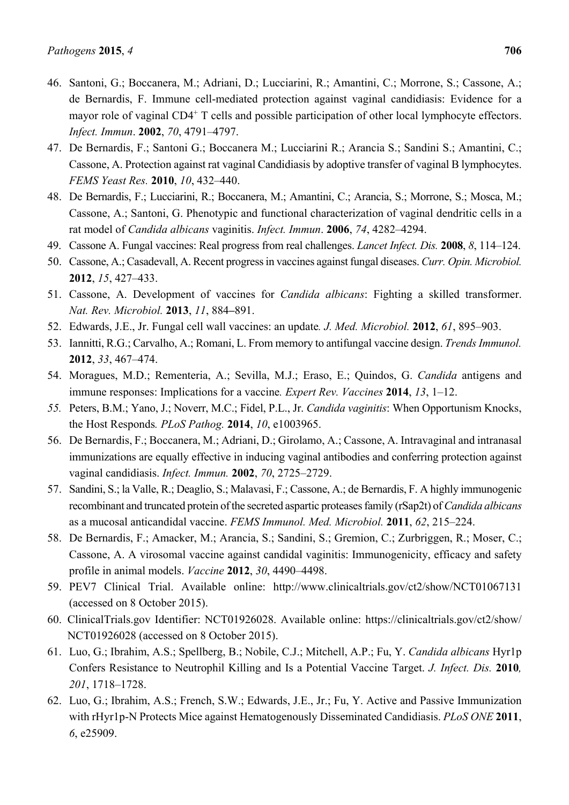- 46. Santoni, G.; Boccanera, M.; Adriani, D.; Lucciarini, R.; Amantini, C.; Morrone, S.; Cassone, A.; de Bernardis, F. Immune cell-mediated protection against vaginal candidiasis: Evidence for a mayor role of vaginal CD4<sup>+</sup> T cells and possible participation of other local lymphocyte effectors. *Infect. Immun*. **2002**, *70*, 4791–4797.
- 47. De Bernardis, F.; Santoni G.; Boccanera M.; Lucciarini R.; Arancia S.; Sandini S.; Amantini, C.; Cassone, A. Protection against rat vaginal Candidiasis by adoptive transfer of vaginal B lymphocytes. *FEMS Yeast Res.* **2010**, *10*, 432–440.
- 48. De Bernardis, F.; Lucciarini, R.; Boccanera, M.; Amantini, C.; Arancia, S.; Morrone, S.; Mosca, M.; Cassone, A.; Santoni, G. Phenotypic and functional characterization of vaginal dendritic cells in a rat model of *Candida albicans* vaginitis. *Infect. Immun*. **2006**, *74*, 4282–4294.
- 49. Cassone A. Fungal vaccines: Real progress from real challenges. *Lancet Infect. Dis.* **2008**, *8*, 114–124.
- 50. Cassone, A.; Casadevall, A. Recent progress in vaccines against fungal diseases. *Curr. Opin. Microbiol.* **2012**, *15*, 427–433.
- 51. Cassone, A. Development of vaccines for *Candida albicans*: Fighting a skilled transformer. *Nat. Rev. Microbiol.* **2013**, *11*, 884**–**891.
- 52. Edwards, J.E., Jr. Fungal cell wall vaccines: an update*. J. Med. Microbiol.* **2012**, *61*, 895–903.
- 53. Iannitti, R.G.; Carvalho, A.; Romani, L. From memory to antifungal vaccine design. *Trends Immunol.* **2012**, *33*, 467–474.
- 54. Moragues, M.D.; Rementeria, A.; Sevilla, M.J.; Eraso, E.; Quindos, G. *Candida* antigens and immune responses: Implications for a vaccine*. Expert Rev. Vaccines* **2014**, *13*, 1–12.
- *55.* Peters, B.M.; Yano, J.; Noverr, M.C.; Fidel, P.L., Jr. *Candida vaginitis*: When Opportunism Knocks, the Host Responds*. PLoS Pathog.* **2014**, *10*, e1003965.
- 56. De Bernardis, F.; Boccanera, M.; Adriani, D.; Girolamo, A.; Cassone, A. Intravaginal and intranasal immunizations are equally effective in inducing vaginal antibodies and conferring protection against vaginal candidiasis. *Infect. Immun.* **2002**, *70*, 2725–2729.
- 57. Sandini, S.; la Valle, R.; Deaglio, S.; Malavasi, F.; Cassone, A.; de Bernardis, F. A highly immunogenic recombinant and truncated protein of the secreted aspartic proteases family (rSap2t) of *Candida albicans*  as a mucosal anticandidal vaccine. *FEMS Immunol. Med. Microbiol.* **2011**, *62*, 215–224.
- 58. De Bernardis, F.; Amacker, M.; Arancia, S.; Sandini, S.; Gremion, C.; Zurbriggen, R.; Moser, C.; Cassone, A. A virosomal vaccine against candidal vaginitis: Immunogenicity, efficacy and safety profile in animal models. *Vaccine* **2012**, *30*, 4490–4498.
- 59. PEV7 Clinical Trial. Available online: http://www.clinicaltrials.gov/ct2/show/NCT01067131 (accessed on 8 October 2015).
- 60. ClinicalTrials.gov Identifier: NCT01926028. Available online: https://clinicaltrials.gov/ct2/show/ NCT01926028 (accessed on 8 October 2015).
- 61. Luo, G.; Ibrahim, A.S.; Spellberg, B.; Nobile, C.J.; Mitchell, A.P.; Fu, Y. *Candida albicans* Hyr1p Confers Resistance to Neutrophil Killing and Is a Potential Vaccine Target. *J. Infect. Dis.* **2010***, 201*, 1718–1728.
- 62. Luo, G.; Ibrahim, A.S.; French, S.W.; Edwards, J.E., Jr.; Fu, Y. Active and Passive Immunization with rHyr1p-N Protects Mice against Hematogenously Disseminated Candidiasis. *PLoS ONE* **2011**, *6*, e25909.